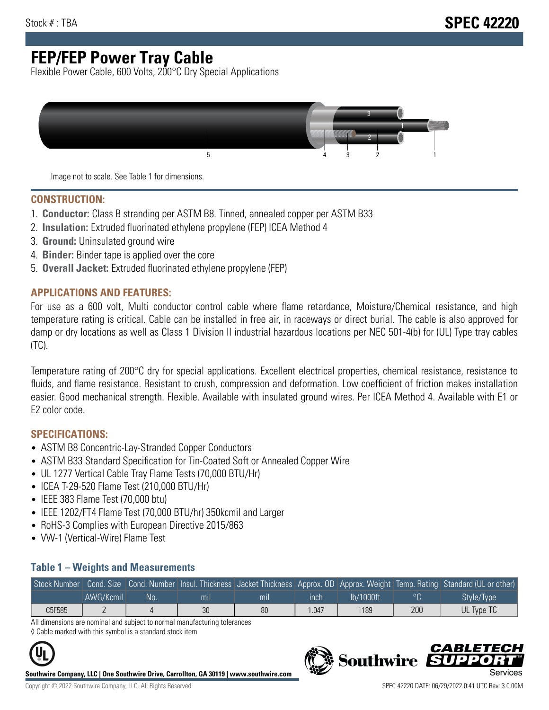# **FEP/FEP Power Tray Cable**

Flexible Power Cable, 600 Volts, 200°C Dry Special Applications



Image not to scale. See Table 1 for dimensions.

#### **CONSTRUCTION:**

- 1. **Conductor:** Class B stranding per ASTM B8. Tinned, annealed copper per ASTM B33
- 2. **Insulation:** Extruded fluorinated ethylene propylene (FEP) ICEA Method 4
- 3. **Ground:** Uninsulated ground wire
- 4. **Binder:** Binder tape is applied over the core
- 5. **Overall Jacket:** Extruded fluorinated ethylene propylene (FEP)

#### **APPLICATIONS AND FEATURES:**

For use as a 600 volt, Multi conductor control cable where flame retardance, Moisture/Chemical resistance, and high temperature rating is critical. Cable can be installed in free air, in raceways or direct burial. The cable is also approved for damp or dry locations as well as Class 1 Division II industrial hazardous locations per NEC 501-4(b) for (UL) Type tray cables (TC).

Temperature rating of 200°C dry for special applications. Excellent electrical properties, chemical resistance, resistance to fluids, and flame resistance. Resistant to crush, compression and deformation. Low coefficient of friction makes installation easier. Good mechanical strength. Flexible. Available with insulated ground wires. Per ICEA Method 4. Available with E1 or E2 color code.

### **SPECIFICATIONS:**

- ASTM B8 Concentric-Lay-Stranded Copper Conductors
- ASTM B33 Standard Specification for Tin-Coated Soft or Annealed Copper Wire
- UL 1277 Vertical Cable Tray Flame Tests (70,000 BTU/Hr)
- ICEA T-29-520 Flame Test (210,000 BTU/Hr)
- IEEE 383 Flame Test (70,000 btu)
- IEEE 1202/FT4 Flame Test (70,000 BTU/hr) 350kcmil and Larger
- RoHS-3 Complies with European Directive 2015/863
- VW-1 (Vertical-Wire) Flame Test

#### **Table 1 – Weights and Measurements**

| Stock Number |           |     |                |                |      |           |     | Cond. Size Cond. Number Insul. Thickness Jacket Thickness Approx. OD Approx. Weight Temp. Rating Standard (UL or other) |
|--------------|-----------|-----|----------------|----------------|------|-----------|-----|-------------------------------------------------------------------------------------------------------------------------|
|              | AWG/Kcmil | No. | m <sub>l</sub> | m <sub>l</sub> | ınch | lb/1000ft |     | Style/Type                                                                                                              |
| C5F585       |           |     | 30             | 80             | .047 | 1189      | 200 | UL Type TC                                                                                                              |

All dimensions are nominal and subject to normal manufacturing tolerances ◊ Cable marked with this symbol is a standard stock item



**Southwire Company, LLC | One Southwire Drive, Carrollton, GA 30119 | www.southwire.com**